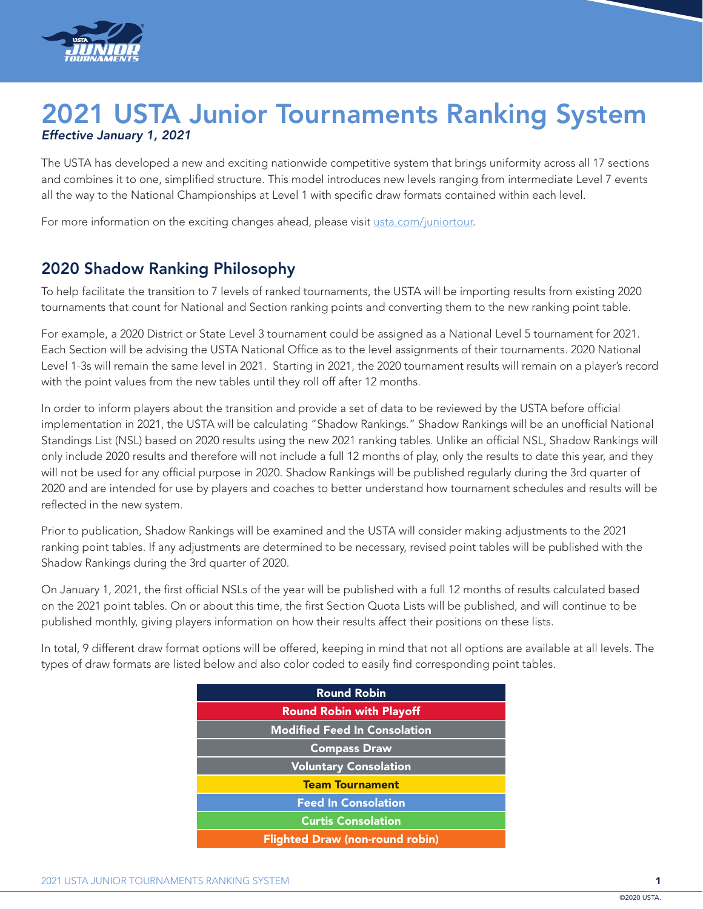

## 2021 USTA Junior Tournaments Ranking System *Effective January 1, 2021*

The USTA has developed a new and exciting nationwide competitive system that brings uniformity across all 17 sections and combines it to one, simplified structure. This model introduces new levels ranging from intermediate Level 7 events all the way to the National Championships at Level 1 with specific draw formats contained within each level.

For more information on the exciting changes ahead, please visit [usta.com/juniortour.](www.usta.com/juniortour)

#### 2020 Shadow Ranking Philosophy

To help facilitate the transition to 7 levels of ranked tournaments, the USTA will be importing results from existing 2020 tournaments that count for National and Section ranking points and converting them to the new ranking point table.

For example, a 2020 District or State Level 3 tournament could be assigned as a National Level 5 tournament for 2021. Each Section will be advising the USTA National Office as to the level assignments of their tournaments. 2020 National Level 1-3s will remain the same level in 2021. Starting in 2021, the 2020 tournament results will remain on a player's record with the point values from the new tables until they roll off after 12 months.

In order to inform players about the transition and provide a set of data to be reviewed by the USTA before official implementation in 2021, the USTA will be calculating "Shadow Rankings." Shadow Rankings will be an unofficial National Standings List (NSL) based on 2020 results using the new 2021 ranking tables. Unlike an official NSL, Shadow Rankings will only include 2020 results and therefore will not include a full 12 months of play, only the results to date this year, and they will not be used for any official purpose in 2020. Shadow Rankings will be published regularly during the 3rd quarter of 2020 and are intended for use by players and coaches to better understand how tournament schedules and results will be reflected in the new system.

Prior to publication, Shadow Rankings will be examined and the USTA will consider making adjustments to the 2021 ranking point tables. If any adjustments are determined to be necessary, revised point tables will be published with the Shadow Rankings during the 3rd quarter of 2020.

On January 1, 2021, the first official NSLs of the year will be published with a full 12 months of results calculated based on the 2021 point tables. On or about this time, the first Section Quota Lists will be published, and will continue to be published monthly, giving players information on how their results affect their positions on these lists.

In total, 9 different draw format options will be offered, keeping in mind that not all options are available at all levels. The types of draw formats are listed below and also color coded to easily find corresponding point tables.

| <b>Round Robin</b>                     |  |  |  |  |
|----------------------------------------|--|--|--|--|
| <b>Round Robin with Playoff</b>        |  |  |  |  |
| <b>Modified Feed In Consolation</b>    |  |  |  |  |
| <b>Compass Draw</b>                    |  |  |  |  |
| <b>Voluntary Consolation</b>           |  |  |  |  |
| <b>Team Tournament</b>                 |  |  |  |  |
| <b>Feed In Consolation</b>             |  |  |  |  |
| <b>Curtis Consolation</b>              |  |  |  |  |
| <b>Flighted Draw (non-round robin)</b> |  |  |  |  |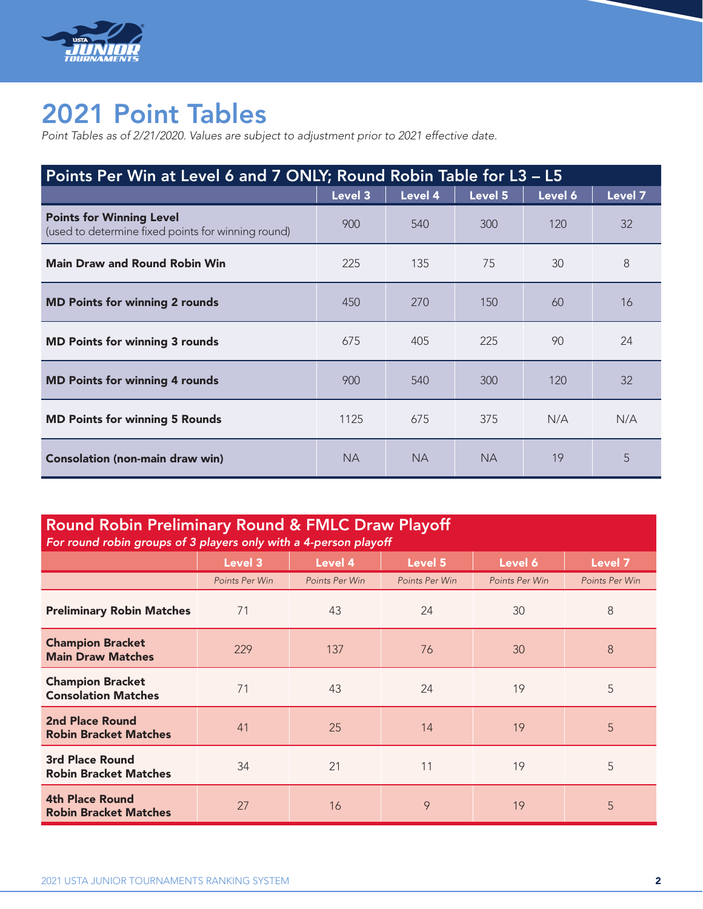

# 2021 Point Tables

*Point Tables as of 2/21/2020. Values are subject to adjustment prior to 2021 effective date.*

| Points Per Win at Level 6 and 7 ONLY; Round Robin Table for L3 - L5                   |           |           |           |         |         |
|---------------------------------------------------------------------------------------|-----------|-----------|-----------|---------|---------|
|                                                                                       | Level 3   | Level 4   | Level 5   | Level 6 | Level 7 |
| <b>Points for Winning Level</b><br>(used to determine fixed points for winning round) | 900       | 540       | 300       | 120     | 32      |
| <b>Main Draw and Round Robin Win</b>                                                  | 225       | 135       | 75        | 30      | 8       |
| <b>MD Points for winning 2 rounds</b>                                                 | 450       | 270       | 150       | 60      | 16      |
| <b>MD Points for winning 3 rounds</b>                                                 | 675       | 405       | 225       | 90      | 24      |
| <b>MD Points for winning 4 rounds</b>                                                 | 900       | 540       | 300       | 120     | 32      |
| <b>MD Points for winning 5 Rounds</b>                                                 | 1125      | 675       | 375       | N/A     | N/A     |
| <b>Consolation (non-main draw win)</b>                                                | <b>NA</b> | <b>NA</b> | <b>NA</b> | 19      | 5       |

| <b>Round Robin Preliminary Round &amp; FMLC Draw Playoff</b><br>For round robin groups of 3 players only with a 4-person playoff |                |                |                |                |                |  |  |
|----------------------------------------------------------------------------------------------------------------------------------|----------------|----------------|----------------|----------------|----------------|--|--|
|                                                                                                                                  | Level 3        | Level 4        | Level 5        | Level 6        | Level 7        |  |  |
|                                                                                                                                  | Points Per Win | Points Per Win | Points Per Win | Points Per Win | Points Per Win |  |  |
| <b>Preliminary Robin Matches</b>                                                                                                 | 71             | 43             | 24             | 30             | 8              |  |  |
| <b>Champion Bracket</b><br><b>Main Draw Matches</b>                                                                              | 229            | 137            | 76             | 30             | 8              |  |  |
| <b>Champion Bracket</b><br><b>Consolation Matches</b>                                                                            | 71             | 43             | 24             | 19             | 5              |  |  |
| 2nd Place Round<br><b>Robin Bracket Matches</b>                                                                                  | 41             | 25             | 14             | 19             | 5              |  |  |
| <b>3rd Place Round</b><br><b>Robin Bracket Matches</b>                                                                           | 34             | 21             | 11             | 19             | 5              |  |  |
| <b>4th Place Round</b><br><b>Robin Bracket Matches</b>                                                                           | 27             | 16             | 9              | 19             | 5              |  |  |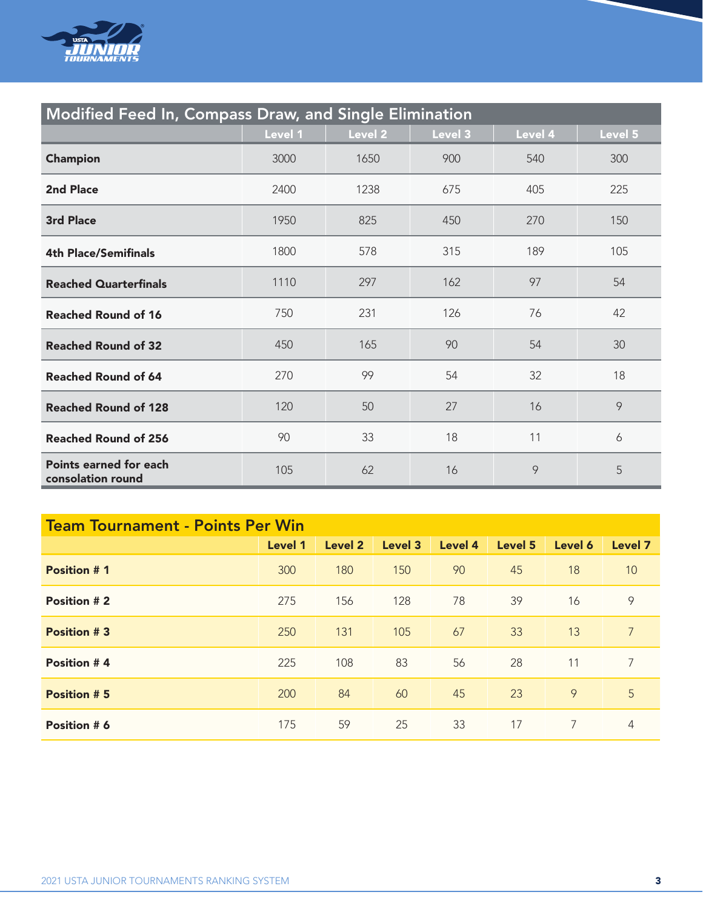

| <b>Modified Feed In, Compass Draw, and Single Elimination</b> |         |         |         |         |         |
|---------------------------------------------------------------|---------|---------|---------|---------|---------|
|                                                               | Level 1 | Level 2 | Level 3 | Level 4 | Level 5 |
| <b>Champion</b>                                               | 3000    | 1650    | 900     | 540     | 300     |
| <b>2nd Place</b>                                              | 2400    | 1238    | 675     | 405     | 225     |
| 3rd Place                                                     | 1950    | 825     | 450     | 270     | 150     |
| <b>4th Place/Semifinals</b>                                   | 1800    | 578     | 315     | 189     | 105     |
| <b>Reached Quarterfinals</b>                                  | 1110    | 297     | 162     | 97      | 54      |
| <b>Reached Round of 16</b>                                    | 750     | 231     | 126     | 76      | 42      |
| <b>Reached Round of 32</b>                                    | 450     | 165     | 90      | 54      | 30      |
| <b>Reached Round of 64</b>                                    | 270     | 99      | 54      | 32      | 18      |
| <b>Reached Round of 128</b>                                   | 120     | 50      | 27      | 16      | 9       |
| <b>Reached Round of 256</b>                                   | 90      | 33      | 18      | 11      | 6       |
| Points earned for each<br>consolation round                   | 105     | 62      | 16      | 9       | 5       |

| <b>Team Tournament - Points Per Win</b> |         |         |         |         |         |         |                |
|-----------------------------------------|---------|---------|---------|---------|---------|---------|----------------|
|                                         | Level 1 | Level 2 | Level 3 | Level 4 | Level 5 | Level 6 | <b>Level 7</b> |
| <b>Position #1</b>                      | 300     | 180     | 150     | 90      | 45      | 18      | 10             |
| <b>Position #2</b>                      | 275     | 156     | 128     | 78      | 39      | 16      | 9              |
| <b>Position #3</b>                      | 250     | 131     | 105     | 67      | 33      | 13      | $\overline{7}$ |
| Position #4                             | 225     | 108     | 83      | 56      | 28      | 11      | 7              |
| <b>Position #5</b>                      | 200     | 84      | 60      | 45      | 23      | 9       | 5              |
| Position # 6                            | 175     | 59      | 25      | 33      | 17      | 7       | 4              |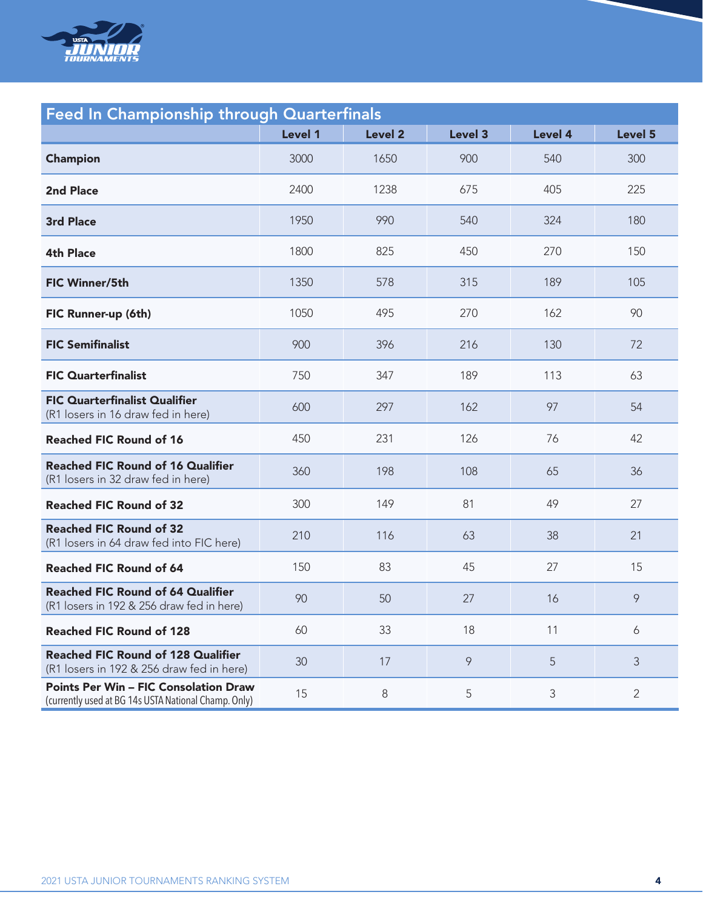

| <b>Feed In Championship through Quarterfinals</b>                                                    |         |                |         |                |                |  |
|------------------------------------------------------------------------------------------------------|---------|----------------|---------|----------------|----------------|--|
|                                                                                                      | Level 1 | <b>Level 2</b> | Level 3 | Level 4        | Level 5        |  |
| <b>Champion</b>                                                                                      | 3000    | 1650           | 900     | 540            | 300            |  |
| 2nd Place                                                                                            | 2400    | 1238           | 675     | 405            | 225            |  |
| <b>3rd Place</b>                                                                                     | 1950    | 990            | 540     | 324            | 180            |  |
| <b>4th Place</b>                                                                                     | 1800    | 825            | 450     | 270            | 150            |  |
| <b>FIC Winner/5th</b>                                                                                | 1350    | 578            | 315     | 189            | 105            |  |
| FIC Runner-up (6th)                                                                                  | 1050    | 495            | 270     | 162            | 90             |  |
| <b>FIC Semifinalist</b>                                                                              | 900     | 396            | 216     | 130            | 72             |  |
| <b>FIC Quarterfinalist</b>                                                                           | 750     | 347            | 189     | 113            | 63             |  |
| <b>FIC Quarterfinalist Qualifier</b><br>(R1 losers in 16 draw fed in here)                           | 600     | 297            | 162     | 97             | 54             |  |
| <b>Reached FIC Round of 16</b>                                                                       | 450     | 231            | 126     | 76             | 42             |  |
| <b>Reached FIC Round of 16 Qualifier</b><br>(R1 losers in 32 draw fed in here)                       | 360     | 198            | 108     | 65             | 36             |  |
| <b>Reached FIC Round of 32</b>                                                                       | 300     | 149            | 81      | 49             | 27             |  |
| <b>Reached FIC Round of 32</b><br>(R1 losers in 64 draw fed into FIC here)                           | 210     | 116            | 63      | 38             | 21             |  |
| <b>Reached FIC Round of 64</b>                                                                       | 150     | 83             | 45      | 27             | 15             |  |
| <b>Reached FIC Round of 64 Qualifier</b><br>(R1 losers in 192 & 256 draw fed in here)                | 90      | 50             | 27      | 16             | 9              |  |
| <b>Reached FIC Round of 128</b>                                                                      | 60      | 33             | 18      | 11             | 6              |  |
| <b>Reached FIC Round of 128 Qualifier</b><br>(R1 losers in 192 & 256 draw fed in here)               | 30      | 17             | 9       | 5              | 3              |  |
| <b>Points Per Win - FIC Consolation Draw</b><br>(currently used at BG 14s USTA National Champ. Only) | 15      | $\,8\,$        | 5       | $\mathfrak{Z}$ | $\overline{2}$ |  |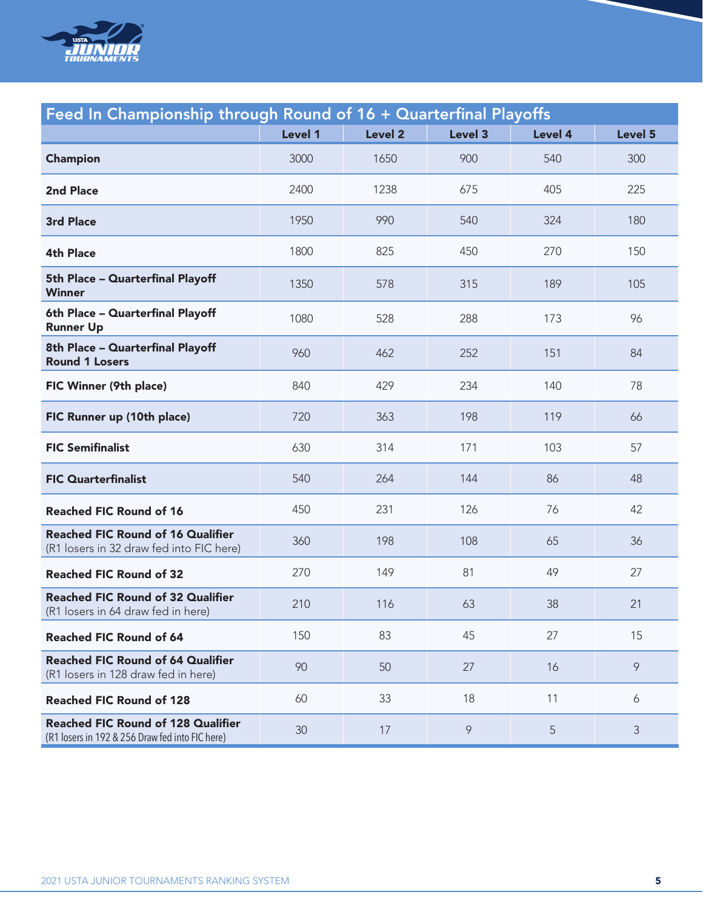

| Feed In Championship through Round of 16 + Quarterfinal Playoffs                             |         |                |         |                |         |
|----------------------------------------------------------------------------------------------|---------|----------------|---------|----------------|---------|
|                                                                                              | Level 1 | <b>Level 2</b> | Level 3 | <b>Level 4</b> | Level 5 |
| <b>Champion</b>                                                                              | 3000    | 1650           | 900     | 540            | 300     |
| <b>2nd Place</b>                                                                             | 2400    | 1238           | 675     | 405            | 225     |
| <b>3rd Place</b>                                                                             | 1950    | 990            | 540     | 324            | 180     |
| <b>4th Place</b>                                                                             | 1800    | 825            | 450     | 270            | 150     |
| 5th Place - Quarterfinal Playoff<br>Winner                                                   | 1350    | 578            | 315     | 189            | 105     |
| 6th Place - Quarterfinal Playoff<br><b>Runner Up</b>                                         | 1080    | 528            | 288     | 173            | 96      |
| 8th Place - Quarterfinal Playoff<br><b>Round 1 Losers</b>                                    | 960     | 462            | 252     | 151            | 84      |
| FIC Winner (9th place)                                                                       | 840     | 429            | 234     | 140            | 78      |
| FIC Runner up (10th place)                                                                   | 720     | 363            | 198     | 119            | 66      |
| <b>FIC Semifinalist</b>                                                                      | 630     | 314            | 171     | 103            | 57      |
| <b>FIC Quarterfinalist</b>                                                                   | 540     | 264            | 144     | 86             | 48      |
| <b>Reached FIC Round of 16</b>                                                               | 450     | 231            | 126     | 76             | 42      |
| <b>Reached FIC Round of 16 Qualifier</b><br>(R1 losers in 32 draw fed into FIC here)         | 360     | 198            | 108     | 65             | 36      |
| <b>Reached FIC Round of 32</b>                                                               | 270     | 149            | 81      | 49             | 27      |
| <b>Reached FIC Round of 32 Qualifier</b><br>(R1 losers in 64 draw fed in here)               | 210     | 116            | 63      | 38             | 21      |
| <b>Reached FIC Round of 64</b>                                                               | 150     | 83             | 45      | 27             | 15      |
| <b>Reached FIC Round of 64 Qualifier</b><br>(R1 losers in 128 draw fed in here)              | 90      | 50             | 27      | 16             | 9       |
| <b>Reached FIC Round of 128</b>                                                              | 60      | 33             | 18      | 11             | 6       |
| <b>Reached FIC Round of 128 Qualifier</b><br>(R1 losers in 192 & 256 Draw fed into FIC here) | 30      | 17             | 9       | 5              | 3       |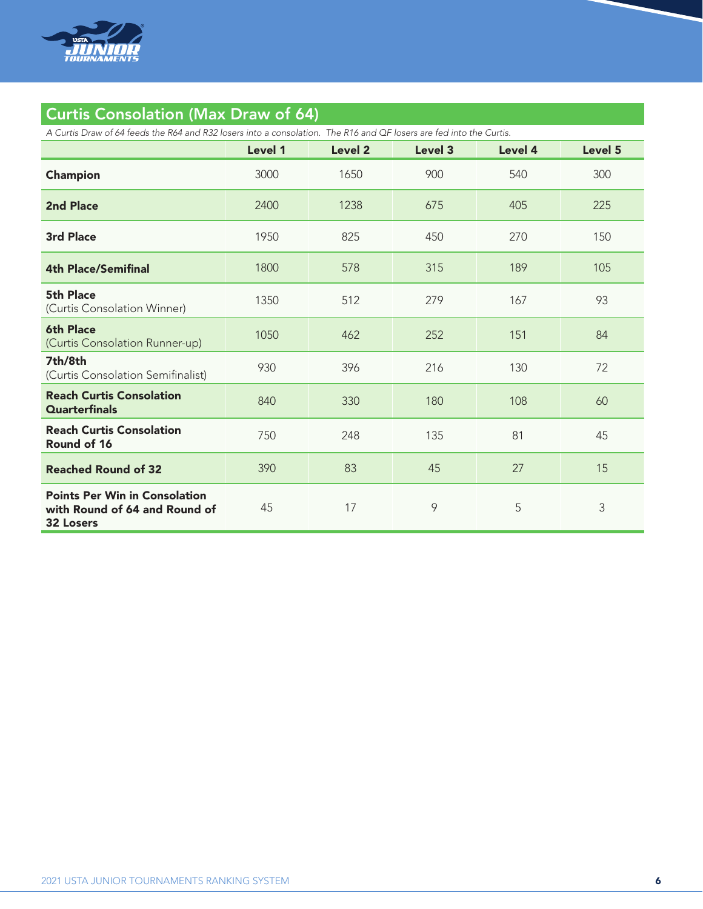

### Curtis Consolation (Max Draw of 64)

*A Curtis Draw of 64 feeds the R64 and R32 losers into a consolation. The R16 and QF losers are fed into the Curtis.*

|                                                                                           | Level 1 | Level 2 | Level 3 | Level 4 | Level 5 |
|-------------------------------------------------------------------------------------------|---------|---------|---------|---------|---------|
| Champion                                                                                  | 3000    | 1650    | 900     | 540     | 300     |
| <b>2nd Place</b>                                                                          | 2400    | 1238    | 675     | 405     | 225     |
| <b>3rd Place</b>                                                                          | 1950    | 825     | 450     | 270     | 150     |
| <b>4th Place/Semifinal</b>                                                                | 1800    | 578     | 315     | 189     | 105     |
| 5th Place<br>(Curtis Consolation Winner)                                                  | 1350    | 512     | 279     | 167     | 93      |
| <b>6th Place</b><br>(Curtis Consolation Runner-up)                                        | 1050    | 462     | 252     | 151     | 84      |
| 7th/8th<br>(Curtis Consolation Semifinalist)                                              | 930     | 396     | 216     | 130     | 72      |
| <b>Reach Curtis Consolation</b><br><b>Quarterfinals</b>                                   | 840     | 330     | 180     | 108     | 60      |
| <b>Reach Curtis Consolation</b><br>Round of 16                                            | 750     | 248     | 135     | 81      | 45      |
| <b>Reached Round of 32</b>                                                                | 390     | 83      | 45      | 27      | 15      |
| <b>Points Per Win in Consolation</b><br>with Round of 64 and Round of<br><b>32 Losers</b> | 45      | 17      | 9       | 5       | 3       |